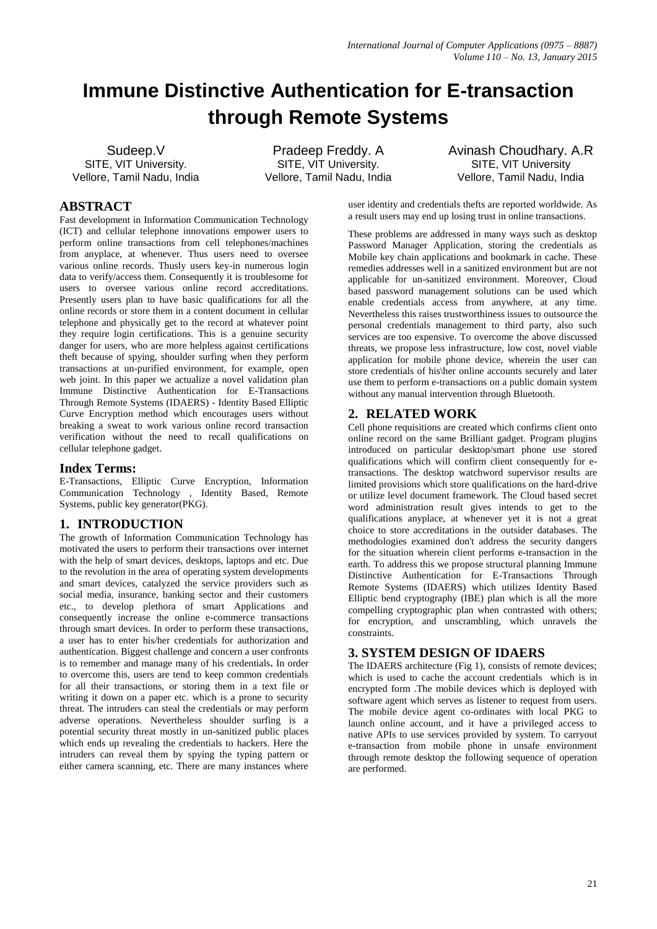# **Immune Distinctive Authentication for E-transaction through Remote Systems**

Sudeep.V SITE, VIT University. Vellore, Tamil Nadu, India

Pradeep Freddy. A SITE, VIT University. Vellore, Tamil Nadu, India Avinash Choudhary. A.R SITE, VIT University Vellore, Tamil Nadu, India

# **ABSTRACT**

Fast development in Information Communication Technology (ICT) and cellular telephone innovations empower users to perform online transactions from cell telephones/machines from anyplace, at whenever. Thus users need to oversee various online records. Thusly users key-in numerous login data to verify/access them. Consequently it is troublesome for users to oversee various online record accreditations. Presently users plan to have basic qualifications for all the online records or store them in a content document in cellular telephone and physically get to the record at whatever point they require login certifications. This is a genuine security danger for users, who are more helpless against certifications theft because of spying, shoulder surfing when they perform transactions at un-purified environment, for example, open web joint. In this paper we actualize a novel validation plan Immune Distinctive Authentication for E-Transactions Through Remote Systems (IDAERS) - Identity Based Elliptic Curve Encryption method which encourages users without breaking a sweat to work various online record transaction verification without the need to recall qualifications on cellular telephone gadget.

## **Index Terms:**

E-Transactions, Elliptic Curve Encryption, Information Communication Technology , Identity Based, Remote Systems, public key generator(PKG).

# **1. INTRODUCTION**

The growth of Information Communication Technology has motivated the users to perform their transactions over internet with the help of smart devices, desktops, laptops and etc. Due to the revolution in the area of operating system developments and smart devices, catalyzed the service providers such as social media, insurance, banking sector and their customers etc., to develop plethora of smart Applications and consequently increase the online e-commerce transactions through smart devices. In order to perform these transactions, a user has to enter his/her credentials for authorization and authentication. Biggest challenge and concern a user confronts is to remember and manage many of his credentials**.** In order to overcome this, users are tend to keep common credentials for all their transactions, or storing them in a text file or writing it down on a paper etc. which is a prone to security threat. The intruders can steal the credentials or may perform adverse operations. Nevertheless shoulder surfing is a potential security threat mostly in un-sanitized public places which ends up revealing the credentials to hackers. Here the intruders can reveal them by spying the typing pattern or either camera scanning, etc. There are many instances where

user identity and credentials thefts are reported worldwide. As a result users may end up losing trust in online transactions.

These problems are addressed in many ways such as desktop Password Manager Application, storing the credentials as Mobile key chain applications and bookmark in cache. These remedies addresses well in a sanitized environment but are not applicable for un-sanitized environment. Moreover, Cloud based password management solutions can be used which enable credentials access from anywhere, at any time. Nevertheless this raises trustworthiness issues to outsource the personal credentials management to third party, also such services are too expensive. To overcome the above discussed threats, we propose less infrastructure, low cost, novel viable application for mobile phone device, wherein the user can store credentials of his\her online accounts securely and later use them to perform e-transactions on a public domain system without any manual intervention through Bluetooth.

# **2. RELATED WORK**

Cell phone requisitions are created which confirms client onto online record on the same Brilliant gadget. Program plugins introduced on particular desktop/smart phone use stored qualifications which will confirm client consequently for etransactions. The desktop watchword supervisor results are limited provisions which store qualifications on the hard-drive or utilize level document framework. The Cloud based secret word administration result gives intends to get to the qualifications anyplace, at whenever yet it is not a great choice to store accreditations in the outsider databases. The methodologies examined don't address the security dangers for the situation wherein client performs e-transaction in the earth. To address this we propose structural planning Immune Distinctive Authentication for E-Transactions Through Remote Systems (IDAERS) which utilizes Identity Based Elliptic bend cryptography (IBE) plan which is all the more compelling cryptographic plan when contrasted with others; for encryption, and unscrambling, which unravels the constraints.

# **3. SYSTEM DESIGN OF IDAERS**

The IDAERS architecture (Fig 1), consists of remote devices; which is used to cache the account credentials which is in encrypted form .The mobile devices which is deployed with software agent which serves as listener to request from users. The mobile device agent co-ordinates with local PKG to launch online account, and it have a privileged access to native APIs to use services provided by system. To carryout e-transaction from mobile phone in unsafe environment through remote desktop the following sequence of operation are performed.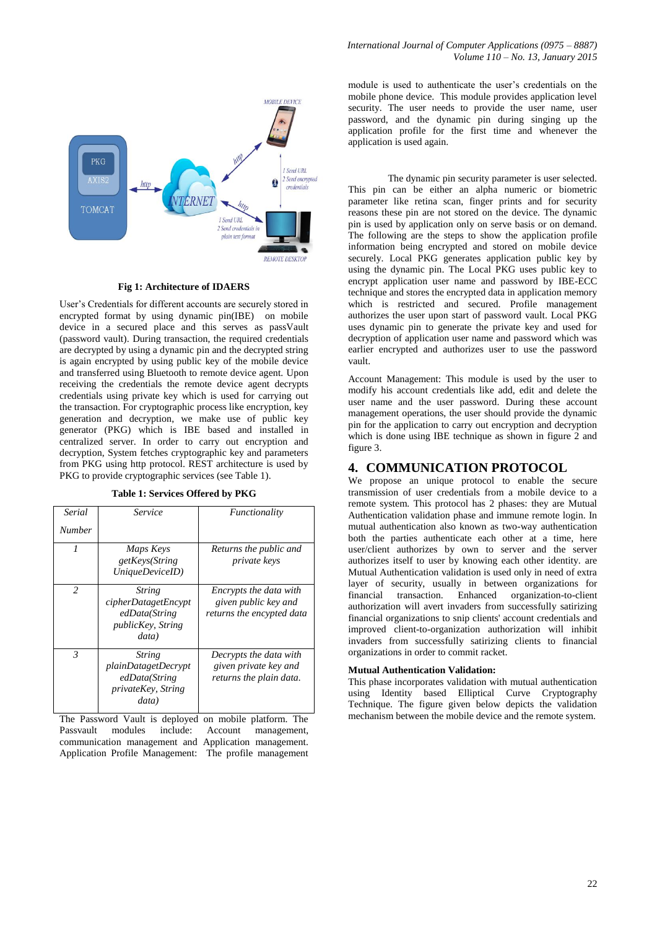

#### **Fig 1: Architecture of IDAERS**

User's Credentials for different accounts are securely stored in encrypted format by using dynamic pin(IBE) on mobile device in a secured place and this serves as passVault (password vault). During transaction, the required credentials are decrypted by using a dynamic pin and the decrypted string is again encrypted by using public key of the mobile device and transferred using Bluetooth to remote device agent. Upon receiving the credentials the remote device agent decrypts credentials using private key which is used for carrying out the transaction. For cryptographic process like encryption, key generation and decryption, we make use of public key generator (PKG) which is IBE based and installed in centralized server. In order to carry out encryption and decryption, System fetches cryptographic key and parameters from PKG using http protocol. REST architecture is used by PKG to provide cryptographic services (see Table 1).

**Table 1: Services Offered by PKG**

| Serial<br><b>Number</b> | Service                                                                                            | Functionality                                                               |
|-------------------------|----------------------------------------------------------------------------------------------------|-----------------------------------------------------------------------------|
| $\boldsymbol{l}$        | Maps Keys<br>getKeys(String<br>UniqueDeviceID)                                                     | Returns the public and<br><i>private keys</i>                               |
| $\mathfrak{D}$          | <b>String</b><br>cipherDatagetEncypt<br>edData(String<br>publicKey, String<br>data)                | Encrypts the data with<br>given public key and<br>returns the encypted data |
| 3                       | <b>String</b><br><i>plainDatagetDecrypt</i><br>edData(String<br><i>privateKey, String</i><br>data) | Decrypts the data with<br>given private key and<br>returns the plain data.  |

The Password Vault is deployed on mobile platform. The Passvault modules include: Account management, communication management and Application management. Application Profile Management: The profile management module is used to authenticate the user's credentials on the mobile phone device. This module provides application level security. The user needs to provide the user name, user password, and the dynamic pin during singing up the application profile for the first time and whenever the application is used again.

The dynamic pin security parameter is user selected. This pin can be either an alpha numeric or biometric parameter like retina scan, finger prints and for security reasons these pin are not stored on the device. The dynamic pin is used by application only on serve basis or on demand. The following are the steps to show the application profile information being encrypted and stored on mobile device securely. Local PKG generates application public key by using the dynamic pin. The Local PKG uses public key to encrypt application user name and password by IBE-ECC technique and stores the encrypted data in application memory which is restricted and secured. Profile management authorizes the user upon start of password vault. Local PKG uses dynamic pin to generate the private key and used for decryption of application user name and password which was earlier encrypted and authorizes user to use the password vault.

Account Management: This module is used by the user to modify his account credentials like add, edit and delete the user name and the user password. During these account management operations, the user should provide the dynamic pin for the application to carry out encryption and decryption which is done using IBE technique as shown in figure 2 and figure 3.

### **4. COMMUNICATION PROTOCOL**

We propose an unique protocol to enable the secure transmission of user credentials from a mobile device to a remote system. This protocol has 2 phases: they are Mutual Authentication validation phase and immune remote login. In mutual authentication also known as two-way authentication both the parties authenticate each other at a time, here user/client authorizes by own to server and the server authorizes itself to user by knowing each other identity. are Mutual Authentication validation is used only in need of extra layer of security, usually in between organizations for financial transaction. Enhanced organization-to-client authorization will avert invaders from successfully satirizing financial organizations to snip clients' account credentials and improved client-to-organization authorization will inhibit invaders from successfully satirizing clients to financial organizations in order to commit racket.

#### **Mutual Authentication Validation:**

This phase incorporates validation with mutual authentication using Identity based Elliptical Curve Cryptography Technique. The figure given below depicts the validation mechanism between the mobile device and the remote system.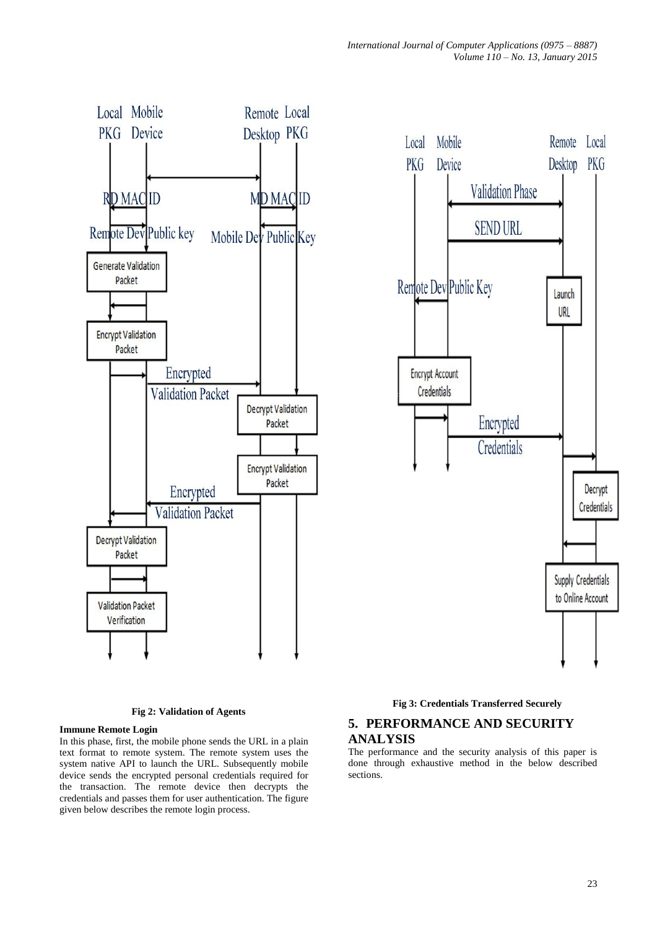Remote Local

Desktop PKG

Launch URL

Decrypt

Credentials

Supply Credentials to Online Account



**Fig 2: Validation of Agents**

#### **Immune Remote Login**

In this phase, first, the mobile phone sends the URL in a plain text format to remote system. The remote system uses the system native API to launch the URL. Subsequently mobile device sends the encrypted personal credentials required for the transaction. The remote device then decrypts the credentials and passes them for user authentication. The figure given below describes the remote login process.

#### **Fig 3: Credentials Transferred Securely**

# **5. PERFORMANCE AND SECURITY ANALYSIS**

The performance and the security analysis of this paper is done through exhaustive method in the below described sections.